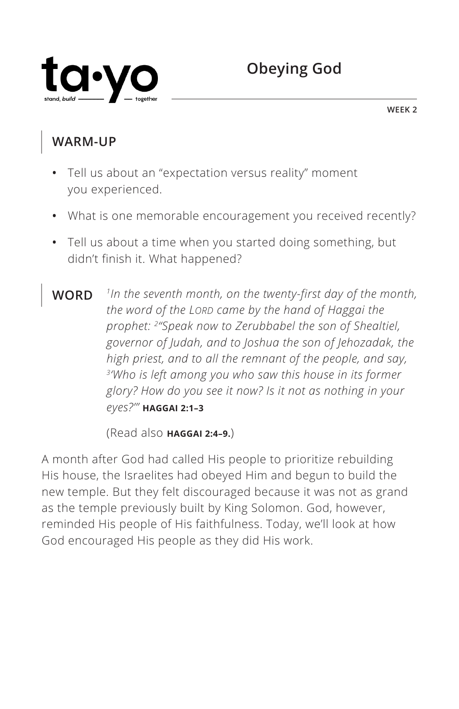

## **WARM-UP**

- **•** Tell us about an "expectation versus reality" moment you experienced.
- **•** What is one memorable encouragement you received recently?
- **•** Tell us about a time when you started doing something, but didn't finish it. What happened?
- **WORD** *1In the seventh month, on the twenty-first day of the month, the word of the LORD came by the hand of Haggai the prophet: 2"Speak now to Zerubbabel the son of Shealtiel, governor of Judah, and to Joshua the son of Jehozadak, the high priest, and to all the remnant of the people, and say, 3'Who is left among you who saw this house in its former glory? How do you see it now? Is it not as nothing in your eyes?'" ^***HAGGAI 2:1–3**

(Read also **^HAGGAI 2:4–9.**)

A month after God had called His people to prioritize rebuilding His house, the Israelites had obeyed Him and begun to build the new temple. But they felt discouraged because it was not as grand as the temple previously built by King Solomon. God, however, reminded His people of His faithfulness. Today, we'll look at how God encouraged His people as they did His work.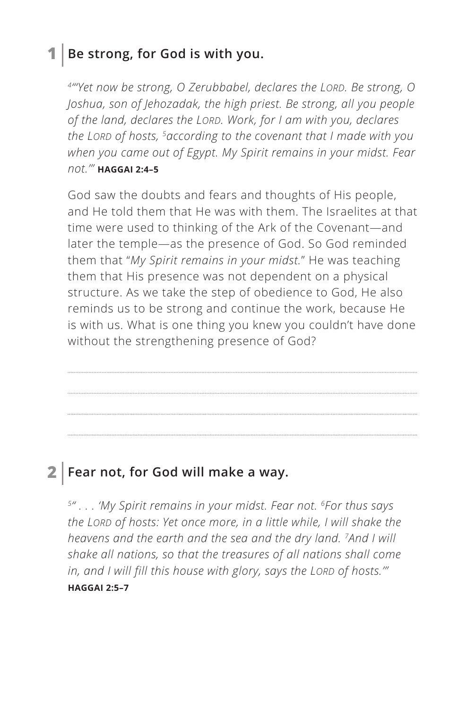### **1 Be strong, for God is with you.**

*4"'Yet now be strong, O Zerubbabel, declares the LORD. Be strong, O Joshua, son of Jehozadak, the high priest. Be strong, all you people of the land, declares the LORD. Work, for I am with you, declares the LORD of hosts, 5according to the covenant that I made with you when you came out of Egypt. My Spirit remains in your midst. Fear not.'" ^***HAGGAI 2:4–5**

God saw the doubts and fears and thoughts of His people, and He told them that He was with them. The Israelites at that time were used to thinking of the Ark of the Covenant—and later the temple—as the presence of God. So God reminded them that "*My Spirit remains in your midst.*" He was teaching them that His presence was not dependent on a physical structure. As we take the step of obedience to God, He also reminds us to be strong and continue the work, because He is with us. What is one thing you knew you couldn't have done without the strengthening presence of God?

## **2 Fear not, for God will make a way.**

*5" . . . 'My Spirit remains in your midst. Fear not. 6For thus says the LORD of hosts: Yet once more, in a little while, I will shake the heavens and the earth and the sea and the dry land. 7And I will shake all nations, so that the treasures of all nations shall come in, and I will fill this house with glory, says the LORD of hosts.'" ^***HAGGAI 2:5–7**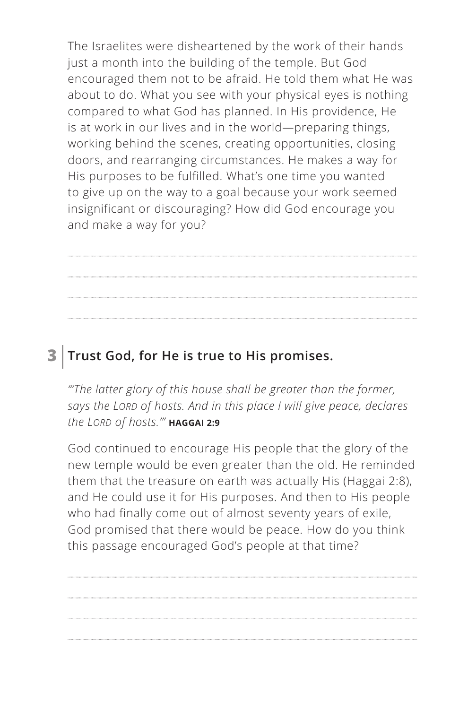The Israelites were disheartened by the work of their hands just a month into the building of the temple. But God encouraged them not to be afraid. He told them what He was about to do. What you see with your physical eyes is nothing compared to what God has planned. In His providence, He is at work in our lives and in the world—preparing things, working behind the scenes, creating opportunities, closing doors, and rearranging circumstances. He makes a way for His purposes to be fulfilled. What's one time you wanted to give up on the way to a goal because your work seemed insignificant or discouraging? How did God encourage you and make a way for you?

## **3 Trust God, for He is true to His promises.**

*"'The latter glory of this house shall be greater than the former, says the LORD of hosts. And in this place I will give peace, declares the LORD of hosts.'" ^***HAGGAI 2:9**

God continued to encourage His people that the glory of the new temple would be even greater than the old. He reminded them that the treasure on earth was actually His (Haggai 2:8), and He could use it for His purposes. And then to His people who had finally come out of almost seventy years of exile, God promised that there would be peace. How do you think this passage encouraged God's people at that time?